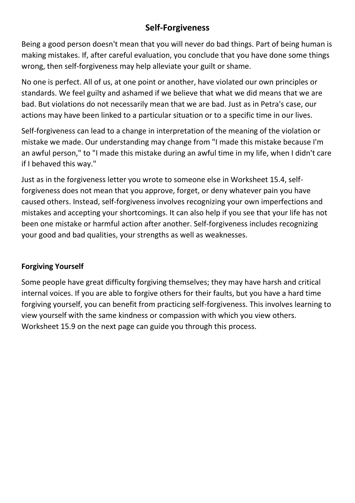## **Self-Forgiveness**

Being a good person doesn't mean that you will never do bad things. Part of being human is making mistakes. If, after careful evaluation, you conclude that you have done some things wrong, then self-forgiveness may help alleviate your guilt or shame.

No one is perfect. All of us, at one point or another, have violated our own principles or standards. We feel guilty and ashamed if we believe that what we did means that we are bad. But violations do not necessarily mean that we are bad. Just as in Petra's case, our actions may have been linked to a particular situation or to a specific time in our lives.

Self-forgiveness can lead to a change in interpretation of the meaning of the violation or mistake we made. Our understanding may change from "I made this mistake because I'm an awful person," to "I made this mistake during an awful time in my life, when I didn't care if I behaved this way."

Just as in the forgiveness letter you wrote to someone else in Worksheet 15.4, selfforgiveness does not mean that you approve, forget, or deny whatever pain you have caused others. Instead, self-forgiveness involves recognizing your own imperfections and mistakes and accepting your shortcomings. It can also help if you see that your life has not been one mistake or harmful action after another. Self-forgiveness includes recognizing your good and bad qualities, your strengths as well as weaknesses.

## **Forgiving Yourself**

Some people have great difficulty forgiving themselves; they may have harsh and critical internal voices. If you are able to forgive others for their faults, but you have a hard time forgiving yourself, you can benefit from practicing self-forgiveness. This involves learning to view yourself with the same kindness or compassion with which you view others. Worksheet 15.9 on the next page can guide you through this process.